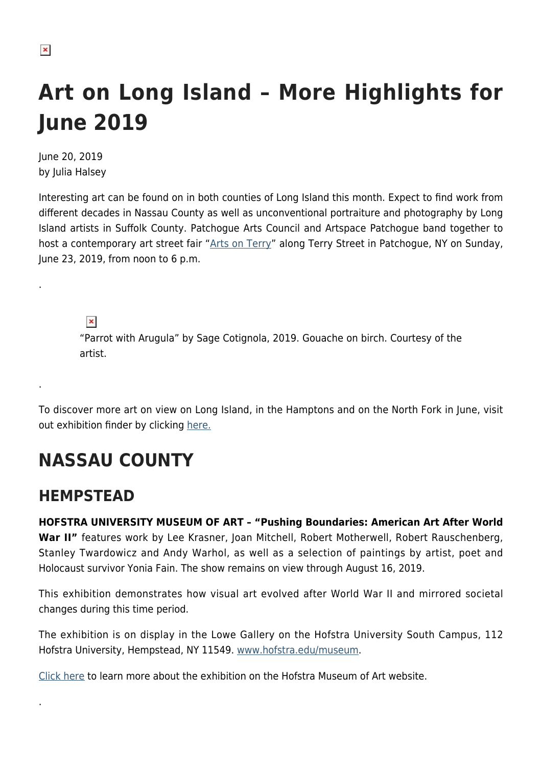$\pmb{\times}$ 

.

.

.

# **Art on Long Island – More Highlights for June 2019**

June 20, 2019 by Julia Halsey

Interesting art can be found on in both counties of Long Island this month. Expect to find work from different decades in Nassau County as well as unconventional portraiture and photography by Long Island artists in Suffolk County. Patchogue Arts Council and Artspace Patchogue band together to host a contemporary art street fair "[Arts on Terry](https://patchoguearts.org/arts-on-terry-festival-details-released/)" along Terry Street in Patchogue, NY on Sunday, June 23, 2019, from noon to 6 p.m.

 $\pmb{\times}$ 

"Parrot with Arugula" by Sage Cotignola, 2019. Gouache on birch. Courtesy of the artist.

To discover more art on view on Long Island, in the Hamptons and on the North Fork in June, visit out exhibition finder by clicking [here.](https://hamptonsarthub.com/category/exhibitions/)

# **NASSAU COUNTY**

### **HEMPSTEAD**

**HOFSTRA UNIVERSITY MUSEUM OF ART – "Pushing Boundaries: American Art After World** War II" features work by Lee Krasner, Joan Mitchell, Robert Motherwell, Robert Rauschenberg, Stanley Twardowicz and Andy Warhol, as well as a selection of paintings by artist, poet and Holocaust survivor Yonia Fain. The show remains on view through August 16, 2019.

This exhibition demonstrates how visual art evolved after World War II and mirrored societal changes during this time period.

The exhibition is on display in the Lowe Gallery on the Hofstra University South Campus, 112 Hofstra University, Hempstead, NY 11549. [www.hofstra.edu/museum](http://www.hofstra.edu/museum).

[Click here](https://www.hofstra.edu/community/museum/museum_exhibition_pushing_boundaries.html) to learn more about the exhibition on the Hofstra Museum of Art website.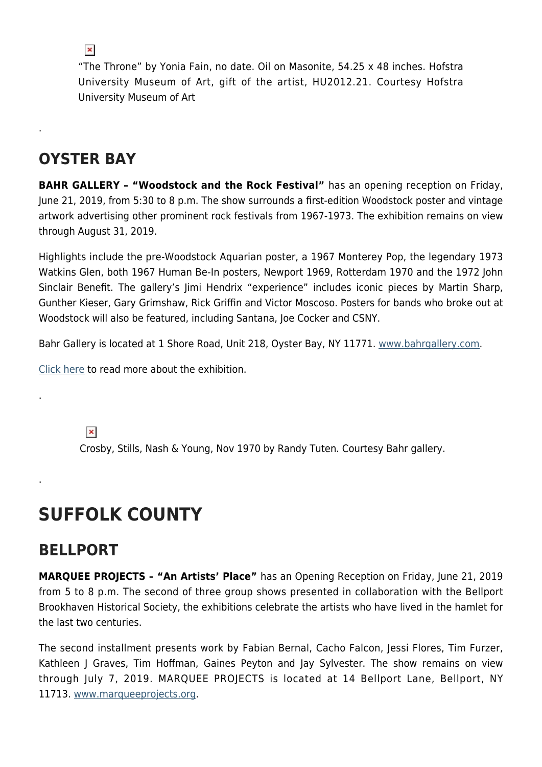$\pmb{\times}$ 

"The Throne" by Yonia Fain, no date. Oil on Masonite, 54.25 x 48 inches. Hofstra University Museum of Art, gift of the artist, HU2012.21. Courtesy Hofstra University Museum of Art

### **OYSTER BAY**

.

.

.

**BAHR GALLERY – "Woodstock and the Rock Festival"** has an opening reception on Friday, June 21, 2019, from 5:30 to 8 p.m. The show surrounds a first-edition Woodstock poster and vintage artwork advertising other prominent rock festivals from 1967-1973. The exhibition remains on view through August 31, 2019.

Highlights include the pre-Woodstock Aquarian poster, a 1967 Monterey Pop, the legendary 1973 Watkins Glen, both 1967 Human Be-In posters, Newport 1969, Rotterdam 1970 and the 1972 John Sinclair Benefit. The gallery's Jimi Hendrix "experience" includes iconic pieces by Martin Sharp, Gunther Kieser, Gary Grimshaw, Rick Griffin and Victor Moscoso. Posters for bands who broke out at Woodstock will also be featured, including Santana, Joe Cocker and CSNY.

Bahr Gallery is located at 1 Shore Road, Unit 218, Oyster Bay, NY 11771. [www.bahrgallery.com.](http://www.bahrgallery.com)

[Click here](https://www.bahrgallery.com/news-events/woodstock-exhibition-opening-june-21) to read more about the exhibition.

 $\pmb{\times}$ 

Crosby, Stills, Nash & Young, Nov 1970 by Randy Tuten. Courtesy Bahr gallery.

## **SUFFOLK COUNTY**

### **BELLPORT**

**MARQUEE PROJECTS – "An Artists' Place"** has an Opening Reception on Friday, June 21, 2019 from 5 to 8 p.m. The second of three group shows presented in collaboration with the Bellport Brookhaven Historical Society, the exhibitions celebrate the artists who have lived in the hamlet for the last two centuries.

The second installment presents work by Fabian Bernal, Cacho Falcon, Jessi Flores, Tim Furzer, Kathleen J Graves, Tim Hoffman, Gaines Peyton and Jay Sylvester. The show remains on view through July 7, 2019. MARQUEE PROJECTS is located at 14 Bellport Lane, Bellport, NY 11713. [www.marqueeprojects.org](http://www.marqueeprojects.org/).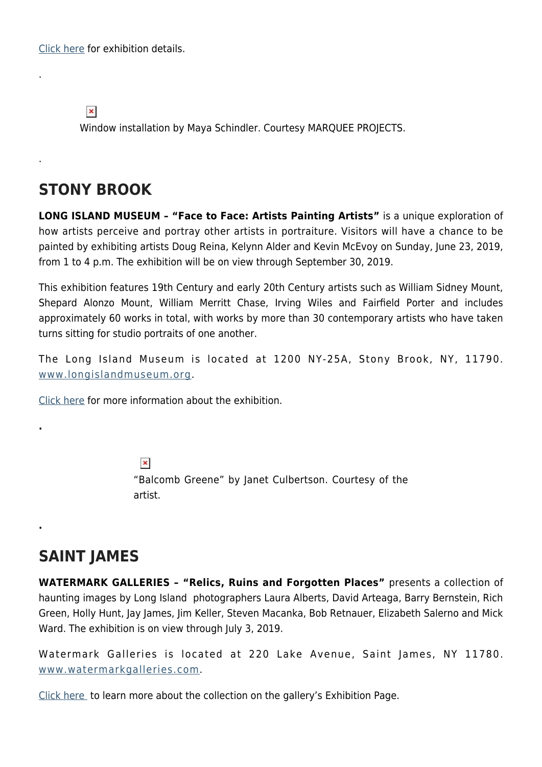[Click here](https://www.marqueeprojects.org/upcoming) for exhibition details.

 $\pmb{\times}$ 

.

.

**.**

**.**

Window installation by Maya Schindler. Courtesy MARQUEE PROJECTS.

#### **STONY BROOK**

**LONG ISLAND MUSEUM – "Face to Face: Artists Painting Artists"** is a unique exploration of how artists perceive and portray other artists in portraiture. Visitors will have a chance to be painted by exhibiting artists Doug Reina, Kelynn Alder and Kevin McEvoy on Sunday, June 23, 2019, from 1 to 4 p.m. The exhibition will be on view through September 30, 2019.

This exhibition features 19th Century and early 20th Century artists such as William Sidney Mount, Shepard Alonzo Mount, William Merritt Chase, Irving Wiles and Fairfield Porter and includes approximately 60 works in total, with works by more than 30 contemporary artists who have taken turns sitting for studio portraits of one another.

The Long Island Museum is located at 1200 NY-25A, Stony Brook, NY, 11790. [www.longislandmuseum.org](http://www.longislandmuseum.org).

[Click here](https://longislandmuseum.org/exhibition/face-to-face-artists-portraits-of-other-artists/) for more information about the exhibition.

 $\pmb{\times}$ "Balcomb Greene" by Janet Culbertson. Courtesy of the artist.

#### **SAINT JAMES**

**WATERMARK GALLERIES – "Relics, Ruins and Forgotten Places"** presents a collection of haunting images by Long Island photographers Laura Alberts, David Arteaga, Barry Bernstein, Rich Green, Holly Hunt, Jay James, Jim Keller, Steven Macanka, Bob Retnauer, Elizabeth Salerno and Mick Ward. The exhibition is on view through July 3, 2019.

Watermark Galleries is located at 220 Lake Avenue, Saint James, NY 11780. [www.watermarkgalleries.com](http://www.watermarkgalleries.com).

[Click here](https://www.watermarkgalleries.com/exhibitions) to learn more about the collection on the gallery's Exhibition Page.